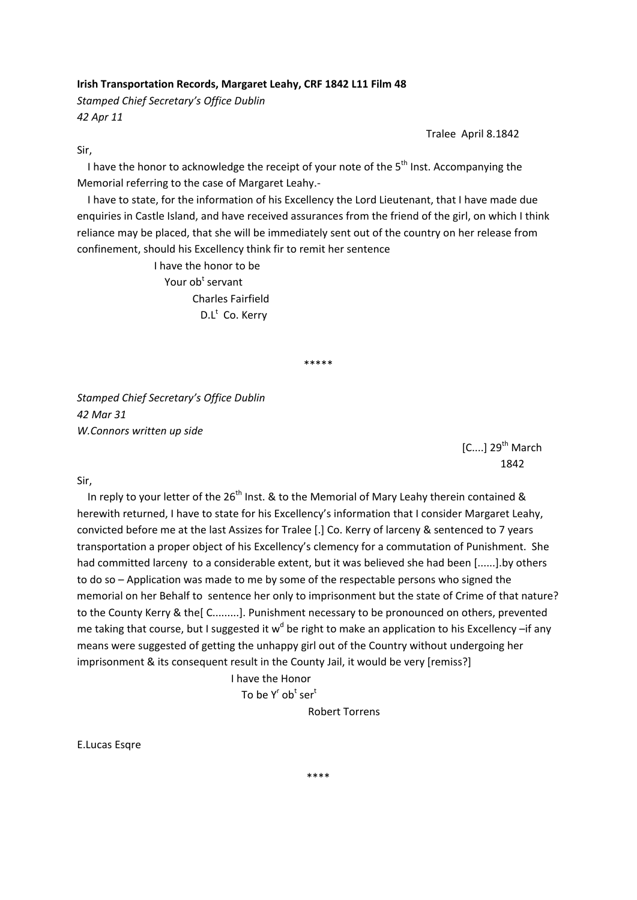## **Irish Transportation Records, Margaret Leahy, CRF 1842 L11 Film 48**

*Stamped Chief Secretary's Office Dublin 42 Apr 11*

Tralee April 8.1842

Sir,

I have the honor to acknowledge the receipt of your note of the  $5<sup>th</sup>$  Inst. Accompanying the Memorial referring to the case of Margaret Leahy.‐

 I have to state, for the information of his Excellency the Lord Lieutenant, that I have made due enquiries in Castle Island, and have received assurances from the friend of the girl, on which I think reliance may be placed, that she will be immediately sent out of the country on her release from confinement, should his Excellency think fir to remit her sentence

 I have the honor to be Your ob<sup>t</sup> servant Charles Fairfield D.L<sup>t</sup> Co. Kerry

\*\*\*\*\*

*Stamped Chief Secretary's Office Dublin 42 Mar 31 W.Connors written up side*

 $[C....]$  29<sup>th</sup> March 1842

Sir,

In reply to your letter of the  $26<sup>th</sup>$  Inst. & to the Memorial of Mary Leahy therein contained & herewith returned, I have to state for his Excellency's information that I consider Margaret Leahy, convicted before me at the last Assizes for Tralee [.] Co. Kerry of larceny & sentenced to 7 years transportation a proper object of his Excellency's clemency for a commutation of Punishment. She had committed larceny to a considerable extent, but it was believed she had been [......].by others to do so – Application was made to me by some of the respectable persons who signed the memorial on her Behalf to sentence her only to imprisonment but the state of Crime of that nature? to the County Kerry & the[ C.........]. Punishment necessary to be pronounced on others, prevented me taking that course, but I suggested it  $w<sup>d</sup>$  be right to make an application to his Excellency –if any means were suggested of getting the unhappy girl out of the Country without undergoing her imprisonment & its consequent result in the County Jail, it would be very [remiss?]

 I have the Honor To be  $Y^r$  ob<sup>t</sup> ser<sup>t</sup>

Robert Torrens

E.Lucas Esqre

\*\*\*\*